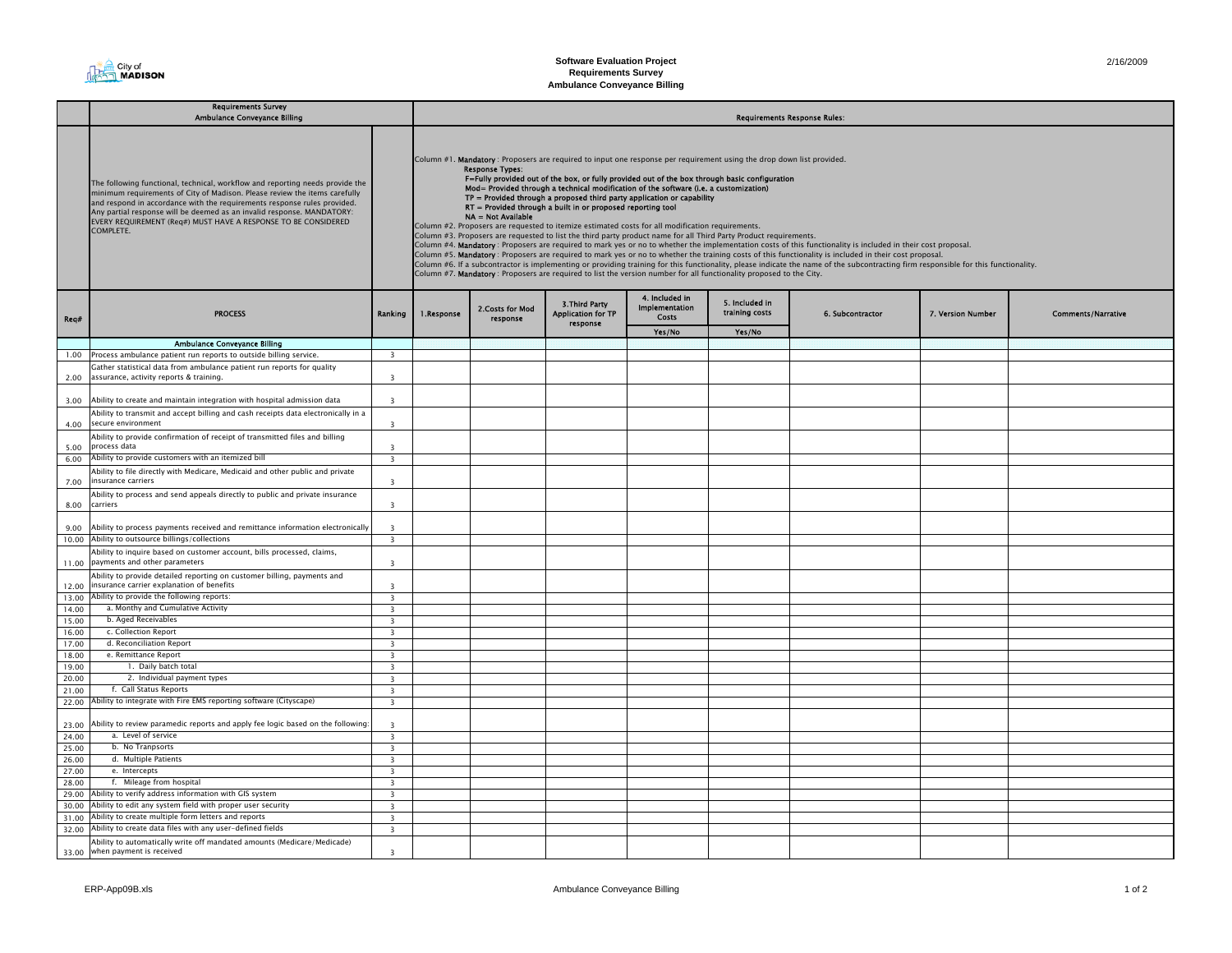

|                | <b>Requirements Survey</b><br><b>Ambulance Conveyance Billing</b>                                                                                                                                                                                                                                                                                                                                |                                                    |                                                                                                                                                                                                                                                                                                                                                                                                                                                                                                                                                                                                                                                                                                                                                                                                                                                                                                                                                                                                                                                                                                                                                                                                                                                                                                                                                                            | <b>Requirements Response Rules:</b> |                                                         |                                                  |                                  |                  |                   |                           |  |  |
|----------------|--------------------------------------------------------------------------------------------------------------------------------------------------------------------------------------------------------------------------------------------------------------------------------------------------------------------------------------------------------------------------------------------------|----------------------------------------------------|----------------------------------------------------------------------------------------------------------------------------------------------------------------------------------------------------------------------------------------------------------------------------------------------------------------------------------------------------------------------------------------------------------------------------------------------------------------------------------------------------------------------------------------------------------------------------------------------------------------------------------------------------------------------------------------------------------------------------------------------------------------------------------------------------------------------------------------------------------------------------------------------------------------------------------------------------------------------------------------------------------------------------------------------------------------------------------------------------------------------------------------------------------------------------------------------------------------------------------------------------------------------------------------------------------------------------------------------------------------------------|-------------------------------------|---------------------------------------------------------|--------------------------------------------------|----------------------------------|------------------|-------------------|---------------------------|--|--|
|                |                                                                                                                                                                                                                                                                                                                                                                                                  |                                                    |                                                                                                                                                                                                                                                                                                                                                                                                                                                                                                                                                                                                                                                                                                                                                                                                                                                                                                                                                                                                                                                                                                                                                                                                                                                                                                                                                                            |                                     |                                                         |                                                  |                                  |                  |                   |                           |  |  |
|                | The following functional, technical, workflow and reporting needs provide the<br>minimum requirements of City of Madison. Please review the items carefully<br>and respond in accordance with the requirements response rules provided.<br>Any partial response will be deemed as an invalid response. MANDATORY:<br>EVERY REQUIREMENT (Req#) MUST HAVE A RESPONSE TO BE CONSIDERED<br>COMPLETE. |                                                    | Column #1. Mandatory: Proposers are required to input one response per requirement using the drop down list provided.<br><b>Response Types:</b><br>F=Fully provided out of the box, or fully provided out of the box through basic configuration<br>Mod= Provided through a technical modification of the software (i.e. a customization)<br>TP = Provided through a proposed third party application or capability<br>RT = Provided through a built in or proposed reporting tool<br>NA = Not Available<br>Column #2. Proposers are requested to itemize estimated costs for all modification requirements.<br>Column #3. Proposers are requested to list the third party product name for all Third Party Product requirements.<br>Column #4. Mandatory: Proposers are required to mark yes or no to whether the implementation costs of this functionality is included in their cost proposal.<br>Column #5. Mandatory : Proposers are required to mark yes or no to whether the training costs of this functionality is included in their cost proposal.<br>Column #6. If a subcontractor is implementing or providing training for this functionality, please indicate the name of the subcontracting firm responsible for this functionality.<br>Column #7. Mandatory: Proposers are required to list the version number for all functionality proposed to the City. |                                     |                                                         |                                                  |                                  |                  |                   |                           |  |  |
| Reg#           | <b>PROCESS</b>                                                                                                                                                                                                                                                                                                                                                                                   | Ranking                                            | 1.Response                                                                                                                                                                                                                                                                                                                                                                                                                                                                                                                                                                                                                                                                                                                                                                                                                                                                                                                                                                                                                                                                                                                                                                                                                                                                                                                                                                 | 2.Costs for Mod<br>response         | 3. Third Party<br><b>Application for TP</b><br>response | 4. Included in<br>Implementation<br><b>Costs</b> | 5. Included in<br>training costs | 6. Subcontractor | 7. Version Number | <b>Comments/Narrative</b> |  |  |
|                |                                                                                                                                                                                                                                                                                                                                                                                                  |                                                    |                                                                                                                                                                                                                                                                                                                                                                                                                                                                                                                                                                                                                                                                                                                                                                                                                                                                                                                                                                                                                                                                                                                                                                                                                                                                                                                                                                            |                                     |                                                         | Yes/No                                           | Yes/No                           |                  |                   |                           |  |  |
|                | <b>Ambulance Conveyance Billing</b>                                                                                                                                                                                                                                                                                                                                                              |                                                    |                                                                                                                                                                                                                                                                                                                                                                                                                                                                                                                                                                                                                                                                                                                                                                                                                                                                                                                                                                                                                                                                                                                                                                                                                                                                                                                                                                            |                                     |                                                         |                                                  |                                  |                  |                   |                           |  |  |
|                | 1.00 Process ambulance patient run reports to outside billing service.                                                                                                                                                                                                                                                                                                                           | $\overline{\mathbf{3}}$                            |                                                                                                                                                                                                                                                                                                                                                                                                                                                                                                                                                                                                                                                                                                                                                                                                                                                                                                                                                                                                                                                                                                                                                                                                                                                                                                                                                                            |                                     |                                                         |                                                  |                                  |                  |                   |                           |  |  |
| 2.00           | Gather statistical data from ambulance patient run reports for quality<br>assurance, activity reports & training.                                                                                                                                                                                                                                                                                | $\overline{\mathbf{3}}$                            |                                                                                                                                                                                                                                                                                                                                                                                                                                                                                                                                                                                                                                                                                                                                                                                                                                                                                                                                                                                                                                                                                                                                                                                                                                                                                                                                                                            |                                     |                                                         |                                                  |                                  |                  |                   |                           |  |  |
| 3.00           | Ability to create and maintain integration with hospital admission data                                                                                                                                                                                                                                                                                                                          | $\overline{\mathbf{3}}$                            |                                                                                                                                                                                                                                                                                                                                                                                                                                                                                                                                                                                                                                                                                                                                                                                                                                                                                                                                                                                                                                                                                                                                                                                                                                                                                                                                                                            |                                     |                                                         |                                                  |                                  |                  |                   |                           |  |  |
| 4.00           | Ability to transmit and accept billing and cash receipts data electronically in a<br>secure environment                                                                                                                                                                                                                                                                                          | $\mathbf{R}$                                       |                                                                                                                                                                                                                                                                                                                                                                                                                                                                                                                                                                                                                                                                                                                                                                                                                                                                                                                                                                                                                                                                                                                                                                                                                                                                                                                                                                            |                                     |                                                         |                                                  |                                  |                  |                   |                           |  |  |
|                | Ability to provide confirmation of receipt of transmitted files and billing                                                                                                                                                                                                                                                                                                                      |                                                    |                                                                                                                                                                                                                                                                                                                                                                                                                                                                                                                                                                                                                                                                                                                                                                                                                                                                                                                                                                                                                                                                                                                                                                                                                                                                                                                                                                            |                                     |                                                         |                                                  |                                  |                  |                   |                           |  |  |
| 5.00           | process data<br>Ability to provide customers with an itemized bill                                                                                                                                                                                                                                                                                                                               | $\overline{3}$                                     |                                                                                                                                                                                                                                                                                                                                                                                                                                                                                                                                                                                                                                                                                                                                                                                                                                                                                                                                                                                                                                                                                                                                                                                                                                                                                                                                                                            |                                     |                                                         |                                                  |                                  |                  |                   |                           |  |  |
| 6.00           |                                                                                                                                                                                                                                                                                                                                                                                                  | $\overline{3}$                                     |                                                                                                                                                                                                                                                                                                                                                                                                                                                                                                                                                                                                                                                                                                                                                                                                                                                                                                                                                                                                                                                                                                                                                                                                                                                                                                                                                                            |                                     |                                                         |                                                  |                                  |                  |                   |                           |  |  |
| 7.00           | Ability to file directly with Medicare, Medicaid and other public and private<br>insurance carriers                                                                                                                                                                                                                                                                                              | $\overline{\mathbf{3}}$                            |                                                                                                                                                                                                                                                                                                                                                                                                                                                                                                                                                                                                                                                                                                                                                                                                                                                                                                                                                                                                                                                                                                                                                                                                                                                                                                                                                                            |                                     |                                                         |                                                  |                                  |                  |                   |                           |  |  |
| 8.00           | Ability to process and send appeals directly to public and private insurance<br>carriers                                                                                                                                                                                                                                                                                                         | $\overline{\mathbf{3}}$                            |                                                                                                                                                                                                                                                                                                                                                                                                                                                                                                                                                                                                                                                                                                                                                                                                                                                                                                                                                                                                                                                                                                                                                                                                                                                                                                                                                                            |                                     |                                                         |                                                  |                                  |                  |                   |                           |  |  |
| 9.00           | Ability to process payments received and remittance information electronically                                                                                                                                                                                                                                                                                                                   | ्र                                                 |                                                                                                                                                                                                                                                                                                                                                                                                                                                                                                                                                                                                                                                                                                                                                                                                                                                                                                                                                                                                                                                                                                                                                                                                                                                                                                                                                                            |                                     |                                                         |                                                  |                                  |                  |                   |                           |  |  |
|                | 10.00 Ability to outsource billings/collections                                                                                                                                                                                                                                                                                                                                                  | $\overline{\mathbf{3}}$                            |                                                                                                                                                                                                                                                                                                                                                                                                                                                                                                                                                                                                                                                                                                                                                                                                                                                                                                                                                                                                                                                                                                                                                                                                                                                                                                                                                                            |                                     |                                                         |                                                  |                                  |                  |                   |                           |  |  |
| 11.00          | Ability to inquire based on customer account, bills processed, claims,<br>payments and other parameters                                                                                                                                                                                                                                                                                          | $\overline{\mathbf{3}}$                            |                                                                                                                                                                                                                                                                                                                                                                                                                                                                                                                                                                                                                                                                                                                                                                                                                                                                                                                                                                                                                                                                                                                                                                                                                                                                                                                                                                            |                                     |                                                         |                                                  |                                  |                  |                   |                           |  |  |
| 12.00          | Ability to provide detailed reporting on customer billing, payments and<br>insurance carrier explanation of benefits                                                                                                                                                                                                                                                                             | ्र                                                 |                                                                                                                                                                                                                                                                                                                                                                                                                                                                                                                                                                                                                                                                                                                                                                                                                                                                                                                                                                                                                                                                                                                                                                                                                                                                                                                                                                            |                                     |                                                         |                                                  |                                  |                  |                   |                           |  |  |
| 13.00          | Ability to provide the following reports:                                                                                                                                                                                                                                                                                                                                                        | $\overline{\mathbf{3}}$                            |                                                                                                                                                                                                                                                                                                                                                                                                                                                                                                                                                                                                                                                                                                                                                                                                                                                                                                                                                                                                                                                                                                                                                                                                                                                                                                                                                                            |                                     |                                                         |                                                  |                                  |                  |                   |                           |  |  |
| 14.00          | a. Monthy and Cumulative Activity                                                                                                                                                                                                                                                                                                                                                                | $\overline{\mathbf{3}}$                            |                                                                                                                                                                                                                                                                                                                                                                                                                                                                                                                                                                                                                                                                                                                                                                                                                                                                                                                                                                                                                                                                                                                                                                                                                                                                                                                                                                            |                                     |                                                         |                                                  |                                  |                  |                   |                           |  |  |
| 15.00          | b. Aged Receivables                                                                                                                                                                                                                                                                                                                                                                              | $\overline{\mathbf{3}}$                            |                                                                                                                                                                                                                                                                                                                                                                                                                                                                                                                                                                                                                                                                                                                                                                                                                                                                                                                                                                                                                                                                                                                                                                                                                                                                                                                                                                            |                                     |                                                         |                                                  |                                  |                  |                   |                           |  |  |
| 16.00          | c. Collection Report<br>d. Reconciliation Report                                                                                                                                                                                                                                                                                                                                                 | $\overline{\mathbf{3}}$                            |                                                                                                                                                                                                                                                                                                                                                                                                                                                                                                                                                                                                                                                                                                                                                                                                                                                                                                                                                                                                                                                                                                                                                                                                                                                                                                                                                                            |                                     |                                                         |                                                  |                                  |                  |                   |                           |  |  |
| 17.00<br>18.00 | e. Remittance Report                                                                                                                                                                                                                                                                                                                                                                             | $\overline{\mathbf{3}}$<br>$\overline{\mathbf{3}}$ |                                                                                                                                                                                                                                                                                                                                                                                                                                                                                                                                                                                                                                                                                                                                                                                                                                                                                                                                                                                                                                                                                                                                                                                                                                                                                                                                                                            |                                     |                                                         |                                                  |                                  |                  |                   |                           |  |  |
| 19.00          | 1. Daily batch total                                                                                                                                                                                                                                                                                                                                                                             | $\overline{\mathbf{3}}$                            |                                                                                                                                                                                                                                                                                                                                                                                                                                                                                                                                                                                                                                                                                                                                                                                                                                                                                                                                                                                                                                                                                                                                                                                                                                                                                                                                                                            |                                     |                                                         |                                                  |                                  |                  |                   |                           |  |  |
| 20.00          | 2. Individual payment types                                                                                                                                                                                                                                                                                                                                                                      | $\overline{\mathbf{3}}$                            |                                                                                                                                                                                                                                                                                                                                                                                                                                                                                                                                                                                                                                                                                                                                                                                                                                                                                                                                                                                                                                                                                                                                                                                                                                                                                                                                                                            |                                     |                                                         |                                                  |                                  |                  |                   |                           |  |  |
| 21.00          | f. Call Status Reports                                                                                                                                                                                                                                                                                                                                                                           | $\overline{\mathbf{3}}$                            |                                                                                                                                                                                                                                                                                                                                                                                                                                                                                                                                                                                                                                                                                                                                                                                                                                                                                                                                                                                                                                                                                                                                                                                                                                                                                                                                                                            |                                     |                                                         |                                                  |                                  |                  |                   |                           |  |  |
| 22.00          | Ability to integrate with Fire EMS reporting software (Cityscape)                                                                                                                                                                                                                                                                                                                                | $\overline{\mathbf{3}}$                            |                                                                                                                                                                                                                                                                                                                                                                                                                                                                                                                                                                                                                                                                                                                                                                                                                                                                                                                                                                                                                                                                                                                                                                                                                                                                                                                                                                            |                                     |                                                         |                                                  |                                  |                  |                   |                           |  |  |
| 23.00          | Ability to review paramedic reports and apply fee logic based on the following:                                                                                                                                                                                                                                                                                                                  | $\overline{\mathbf{3}}$                            |                                                                                                                                                                                                                                                                                                                                                                                                                                                                                                                                                                                                                                                                                                                                                                                                                                                                                                                                                                                                                                                                                                                                                                                                                                                                                                                                                                            |                                     |                                                         |                                                  |                                  |                  |                   |                           |  |  |
| 24.00          | a. Level of service                                                                                                                                                                                                                                                                                                                                                                              | $\overline{\mathbf{3}}$                            |                                                                                                                                                                                                                                                                                                                                                                                                                                                                                                                                                                                                                                                                                                                                                                                                                                                                                                                                                                                                                                                                                                                                                                                                                                                                                                                                                                            |                                     |                                                         |                                                  |                                  |                  |                   |                           |  |  |
| 25.00          | b. No Tranpsorts                                                                                                                                                                                                                                                                                                                                                                                 | $\overline{\mathbf{3}}$                            |                                                                                                                                                                                                                                                                                                                                                                                                                                                                                                                                                                                                                                                                                                                                                                                                                                                                                                                                                                                                                                                                                                                                                                                                                                                                                                                                                                            |                                     |                                                         |                                                  |                                  |                  |                   |                           |  |  |
| 26.00          | d. Multiple Patients                                                                                                                                                                                                                                                                                                                                                                             | $\overline{3}$                                     |                                                                                                                                                                                                                                                                                                                                                                                                                                                                                                                                                                                                                                                                                                                                                                                                                                                                                                                                                                                                                                                                                                                                                                                                                                                                                                                                                                            |                                     |                                                         |                                                  |                                  |                  |                   |                           |  |  |
| 27.00          | e. Intercepts                                                                                                                                                                                                                                                                                                                                                                                    | $\overline{\mathbf{3}}$                            |                                                                                                                                                                                                                                                                                                                                                                                                                                                                                                                                                                                                                                                                                                                                                                                                                                                                                                                                                                                                                                                                                                                                                                                                                                                                                                                                                                            |                                     |                                                         |                                                  |                                  |                  |                   |                           |  |  |
| 28.00          | f. Mileage from hospital                                                                                                                                                                                                                                                                                                                                                                         | $\overline{\mathbf{3}}$                            |                                                                                                                                                                                                                                                                                                                                                                                                                                                                                                                                                                                                                                                                                                                                                                                                                                                                                                                                                                                                                                                                                                                                                                                                                                                                                                                                                                            |                                     |                                                         |                                                  |                                  |                  |                   |                           |  |  |
| 29.00          | Ability to verify address information with GIS system                                                                                                                                                                                                                                                                                                                                            | $\overline{\mathbf{3}}$                            |                                                                                                                                                                                                                                                                                                                                                                                                                                                                                                                                                                                                                                                                                                                                                                                                                                                                                                                                                                                                                                                                                                                                                                                                                                                                                                                                                                            |                                     |                                                         |                                                  |                                  |                  |                   |                           |  |  |
| 30.00          | Ability to edit any system field with proper user security                                                                                                                                                                                                                                                                                                                                       | $\overline{\mathbf{3}}$                            |                                                                                                                                                                                                                                                                                                                                                                                                                                                                                                                                                                                                                                                                                                                                                                                                                                                                                                                                                                                                                                                                                                                                                                                                                                                                                                                                                                            |                                     |                                                         |                                                  |                                  |                  |                   |                           |  |  |
| 31.00          | Ability to create multiple form letters and reports                                                                                                                                                                                                                                                                                                                                              | $\overline{3}$                                     |                                                                                                                                                                                                                                                                                                                                                                                                                                                                                                                                                                                                                                                                                                                                                                                                                                                                                                                                                                                                                                                                                                                                                                                                                                                                                                                                                                            |                                     |                                                         |                                                  |                                  |                  |                   |                           |  |  |
| 32.00          | Ability to create data files with any user-defined fields                                                                                                                                                                                                                                                                                                                                        | $\overline{3}$                                     |                                                                                                                                                                                                                                                                                                                                                                                                                                                                                                                                                                                                                                                                                                                                                                                                                                                                                                                                                                                                                                                                                                                                                                                                                                                                                                                                                                            |                                     |                                                         |                                                  |                                  |                  |                   |                           |  |  |
| 33.00          | Ability to automatically write off mandated amounts (Medicare/Medicade)<br>when payment is received                                                                                                                                                                                                                                                                                              | $\overline{\mathbf{3}}$                            |                                                                                                                                                                                                                                                                                                                                                                                                                                                                                                                                                                                                                                                                                                                                                                                                                                                                                                                                                                                                                                                                                                                                                                                                                                                                                                                                                                            |                                     |                                                         |                                                  |                                  |                  |                   |                           |  |  |